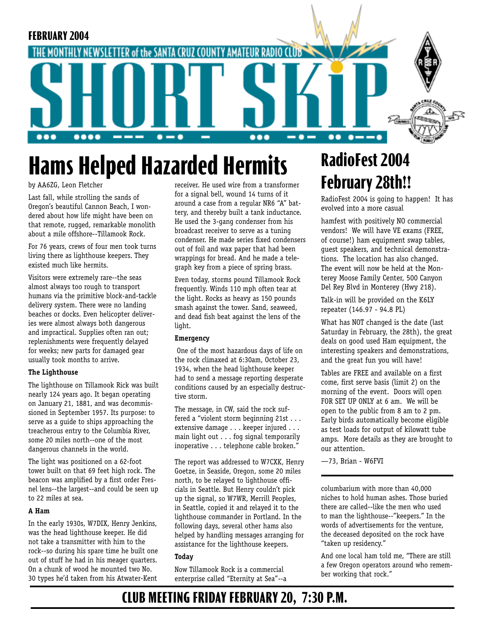

# **Hams Helped Hazarded Hermits**

by AA6ZG, Leon Fletcher

Last fall, while strolling the sands of Oregon's beautiful Cannon Beach, I wondered about how life might have been on that remote, rugged, remarkable monolith about a mile offshore--Tillamook Rock.

For 76 years, crews of four men took turns living there as lighthouse keepers. They existed much like hermits.

Visitors were extremely rare--the seas almost always too rough to transport humans via the primitive block-and-tackle delivery system. There were no landing beaches or docks. Even helicopter deliveries were almost always both dangerous and impractical. Supplies often ran out; replenishments were frequently delayed for weeks; new parts for damaged gear usually took months to arrive.

#### **The Lighthouse**

The lighthouse on Tillamook Rick was built nearly 124 years ago. It began operating on January 21, 1881, and was decommissioned in September 1957. Its purpose: to serve as a guide to ships approaching the treacherous entry to the Columbia River, some 20 miles north--one of the most dangerous channels in the world.

The light was positioned on a 62-foot tower built on that 69 feet high rock. The beacon was amplified by a first order Fresnel lens--the largest--and could be seen up to 22 miles at sea.

#### **A Ham**

In the early 1930s, W7DIX, Henry Jenkins, was the head lighthouse keeper. He did not take a transmitter with him to the rock--so during his spare time he built one out of stuff he had in his meager quarters. On a chunk of wood he mounted two No. 30 types he'd taken from his Atwater-Kent

receiver. He used wire from a transformer for a signal bell, wound 14 turns of it around a case from a regular NR6 "A" battery, and thereby built a tank inductance. He used the 3-gang condenser from his broadcast receiver to serve as a tuning condenser. He made series fixed condensers out of foil and wax paper that had been wrappings for bread. And he made a telegraph key from a piece of spring brass.

Even today, storms pound Tillamook Rock frequently. Winds 110 mph often tear at the light. Rocks as heavy as 150 pounds smash against the tower. Sand, seaweed, and dead fish beat against the lens of the light.

#### **Emergency**

 One of the most hazardous days of life on the rock climaxed at 6:30am, October 23, 1934, when the head lighthouse keeper had to send a message reporting desperate conditions caused by an especially destructive storm.

The message, in CW, said the rock suffered a "violent storm beginning 21st . . . extensive damage . . . keeper injured . . . main light out . . . fog signal temporarily inoperative . . . telephone cable broken."

The report was addressed to W7CXK, Henry Goetze, in Seaside, Oregon, some 20 miles north, to be relayed to lighthouse officials in Seattle. But Henry couldn't pick up the signal, so W7WR, Merrill Peoples, in Seattle, copied it and relayed it to the lighthouse commander in Portland. In the following days, several other hams also helped by handling messages arranging for assistance for the lighthouse keepers.

#### **Today**

Now Tillamook Rock is a commercial enterprise called "Eternity at Sea"--a

# **RadioFest 2004 February 28th!!**

RadioFest 2004 is going to happen! It has evolved into a more casual

hamfest with positively NO commercial vendors! We will have VE exams (FREE, of course!) ham equipment swap tables, guest speakers, and technical demonstrations. The location has also changed. The event will now be held at the Monterey Moose Family Center, 500 Canyon Del Rey Blvd in Monterey (Hwy 218).

Talk-in will be provided on the K6LY repeater (146.97 - 94.8 PL)

What has NOT changed is the date (last Saturday in February, the 28th), the great deals on good used Ham equipment, the interesting speakers and demonstrations, and the great fun you will have!

Tables are FREE and available on a first come, first serve basis (limit 2) on the morning of the event. Doors will open FOR SET UP ONLY at 6 am. We will be open to the public from 8 am to 2 pm. Early birds automatically become eligible as test loads for output of kilowatt tube amps. More details as they are brought to our attention.

—73, Brian - W6FVI

columbarium with more than 40,000 niches to hold human ashes. Those buried there are called--like the men who used to man the lighthouse--"keepers." In the words of advertisements for the venture, the deceased deposited on the rock have "taken up residency."

And one local ham told me, "There are still a few Oregon operators around who remember working that rock."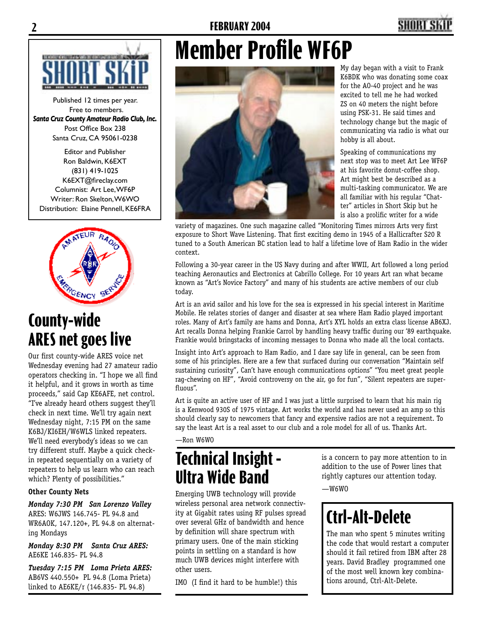### **2 FEBRUARY 2004 3**



Published 12 times per year. Free to members. *Santa Cruz County Amateur Radio Club, Inc.* Post Office Box 238 Santa Cruz, CA 95061-0238

Editor and Publisher Ron Baldwin, K6EXT (831) 419-1025 K6EXT@fireclay.com Columnist: Art Lee, WF6P Writer: Ron Skelton, W6WO Distribution: Elaine Pennell, KE6FRA



## **County-wide ARES net goes live**

Our first county-wide ARES voice net Wednesday evening had 27 amateur radio operators checking in. "I hope we all find it helpful, and it grows in worth as time proceeds," said Cap KE6AFE, net control. "I've already heard others suggest they'll check in next time. We'll try again next Wednesday night, 7:15 PM on the same K6BJ/KI6EH/W6WLS linked repeaters. We'll need everybody's ideas so we can try different stuff. Maybe a quick checkin repeated sequentially on a variety of repeaters to help us learn who can reach which? Plenty of possibilities."

#### **Other County Nets**

*Monday 7:30 PM San Lorenzo Valley*  ARES: W6JWS 146.745- PL 94.8 and WR6AOK, 147.120+, PL 94.8 on alternating Mondays

*Monday 8:30 PM Santa Cruz ARES:*  AE6KE 146.835- PL 94.8

*Tuesday 7:15 PM Loma Prieta ARES:*  AB6VS 440.550+ PL 94.8 (Loma Prieta) linked to AE6KE/r (146.835- PL 94.8)

# **Member Profile WF6P**



My day began with a visit to Frank K6BDK who was donating some coax for the AO-40 project and he was excited to tell me he had worked ZS on 40 meters the night before using PSK-31. He said times and technology change but the magic of communicating via radio is what our hobby is all about.

Speaking of communications my next stop was to meet Art Lee WF6P at his favorite donut-coffee shop. Art might best be described as a multi-tasking communicator. We are all familiar with his regular "Chatter" articles in Short Skip but he is also a prolific writer for a wide

variety of magazines. One such magazine called "Monitoring Times mirrors Arts very first exposure to Short Wave Listening. That first exciting demo in 1945 of a Hallicrafter S20 R tuned to a South American BC station lead to half a lifetime love of Ham Radio in the wider context.

Following a 30-year career in the US Navy during and after WWII, Art followed a long period teaching Aeronautics and Electronics at Cabrillo College. For 10 years Art ran what became known as "Art's Novice Factory" and many of his students are active members of our club today.

Art is an avid sailor and his love for the sea is expressed in his special interest in Maritime Mobile. He relates stories of danger and disaster at sea where Ham Radio played important roles. Many of Art's family are hams and Donna, Art's XYL holds an extra class license AB6XJ. Art recalls Donna helping Frankie Carrol by handling heavy traffic during our '89 earthquake. Frankie would bringstacks of incoming messages to Donna who made all the local contacts.

Insight into Art's approach to Ham Radio, and I dare say life in general, can be seen from some of his principles. Here are a few that surfaced during our conversation "Maintain self sustaining curiosity", Can't have enough communications options" "You meet great people rag-chewing on HF", "Avoid controversy on the air, go for fun", "Silent repeaters are superfluous".

Art is quite an active user of HF and I was just a little surprised to learn that his main rig is a Kenwood 930S of 1975 vintage. Art works the world and has never used an amp so this should clearly say to newcomers that fancy and expensive radios are not a requirement. To say the least Art is a real asset to our club and a role model for all of us. Thanks Art.

—Ron W6WO

## **Technical Insight - Ultra Wide Band**

Emerging UWB technology will provide wireless personal area network connectivity at Gigabit rates using RF pulses spread over several GHz of bandwidth and hence by definition will share spectrum with primary users. One of the main sticking points in settling on a standard is how much UWB devices might interfere with other users.

IMO (I find it hard to be humble!) this

is a concern to pay more attention to in addition to the use of Power lines that rightly captures our attention today.

 $-W6WO$ 

# **Ctrl-Alt-Delete**

The man who spent 5 minutes writing the code that would restart a computer should it fail retired from IBM after 28 years. David Bradley programmed one of the most well known key combinations around, Ctrl-Alt-Delete.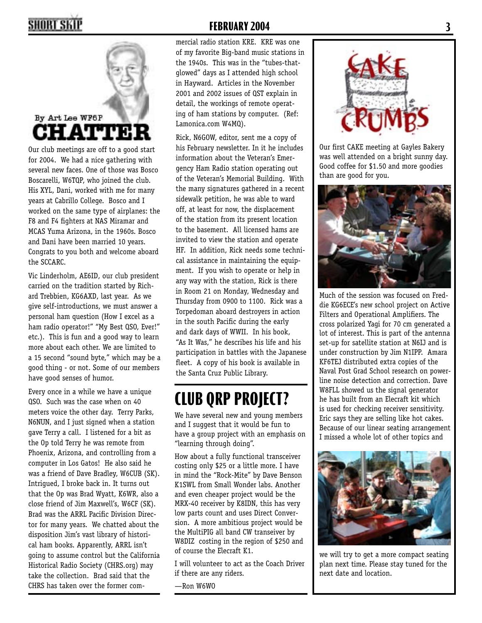

Our club meetings are off to a good start for 2004. We had a nice gathering with several new faces. One of those was Bosco Boscarelli, W6TQP, who joined the club. His XYL, Dani, worked with me for many years at Cabrillo College. Bosco and I worked on the same type of airplanes: the F8 and F4 fighters at NAS Miramar and MCAS Yuma Arizona, in the 1960s. Bosco and Dani have been married 10 years. Congrats to you both and welcome aboard the SCCARC.

Vic Linderholm, AE6ID, our club president carried on the tradition started by Richard Trebbien, KG6AXD, last year. As we give self-introductions, we must answer a personal ham question (How I excel as a ham radio operator!" "My Best QSO, Ever!" etc.). This is fun and a good way to learn more about each other. We are limited to a 15 second "sound byte," which may be a good thing - or not. Some of our members have good senses of humor.

Every once in a while we have a unique QSO. Such was the case when on 40 meters voice the other day. Terry Parks, N6NUN, and I just signed when a station gave Terry a call. I listened for a bit as the Op told Terry he was remote from Phoenix, Arizona, and controlling from a computer in Los Gatos! He also said he was a friend of Dave Bradley, W6CUB (SK). Intrigued, I broke back in. It turns out that the Op was Brad Wyatt, K6WR, also a close friend of Jim Maxwell's, W6CF (SK). Brad was the ARRL Pacific Division Director for many years. We chatted about the disposition Jim's vast library of historical ham books. Apparently, ARRL isn't going to assume control but the California Historical Radio Society (CHRS.org) may take the collection. Brad said that the CHRS has taken over the former com-

### **2 FEBRUARY 2004 3**

mercial radio station KRE. KRE was one of my favorite Big-band music stations in the 1940s. This was in the "tubes-thatglowed" days as I attended high school in Hayward. Articles in the November 2001 and 2002 issues of QST explain in detail, the workings of remote operating of ham stations by computer. (Ref: Lamonica.com W4MQ).

Rick, N6GOW, editor, sent me a copy of his February newsletter. In it he includes information about the Veteran's Emergency Ham Radio station operating out of the Veteran's Memorial Building. With the many signatures gathered in a recent sidewalk petition, he was able to ward off, at least for now, the displacement of the station from its present location to the basement. All licensed hams are invited to view the station and operate HF. In addition, Rick needs some technical assistance in maintaining the equipment. If you wish to operate or help in any way with the station, Rick is there in Room 21 on Monday, Wednesday and Thursday from 0900 to 1100. Rick was a Torpedoman aboard destroyers in action in the south Pacific during the early and dark days of WWII. In his book, "As It Was," he describes his life and his participation in battles with the Japanese fleet. A copy of his book is available in the Santa Cruz Public Library.

# **CLUB QRP PROJECT?**

We have several new and young members and I suggest that it would be fun to have a group project with an emphasis on "learning through doing".

How about a fully functional transceiver costing only \$25 or a little more. I have in mind the "Rock-Mite" by Dave Benson K1SWL from Small Wonder labs. Another and even cheaper project would be the MRX-40 receiver by K8IDN, this has very low parts count and uses Direct Conversion. A more ambitious project would be the MultiPIG all band CW transeiver by W8DIZ costing in the region of \$250 and of course the Elecraft K1.

I will volunteer to act as the Coach Driver if there are any riders.

—Ron W6WO



Our first CAKE meeting at Gayles Bakery was well attended on a bright sunny day. Good coffee for \$1.50 and more goodies than are good for you.



Much of the session was focused on Freddie KG6ECE's new school project on Active Filters and Operational Amplifiers. The cross polarized Yagi for 70 cm generated a lot of interest. This is part of the antenna set-up for satellite station at N6IJ and is under construction by Jim N1IPP. Amara KF6TEJ distributed extra copies of the Naval Post Grad School research on powerline noise detection and correction. Dave W8FLL showed us the signal generator he has built from an Elecraft kit which is used for checking receiver sensitivity. Eric says they are selling like hot cakes. Because of our linear seating arrangement I missed a whole lot of other topics and

![](_page_2_Picture_17.jpeg)

we will try to get a more compact seating plan next time. Please stay tuned for the next date and location.